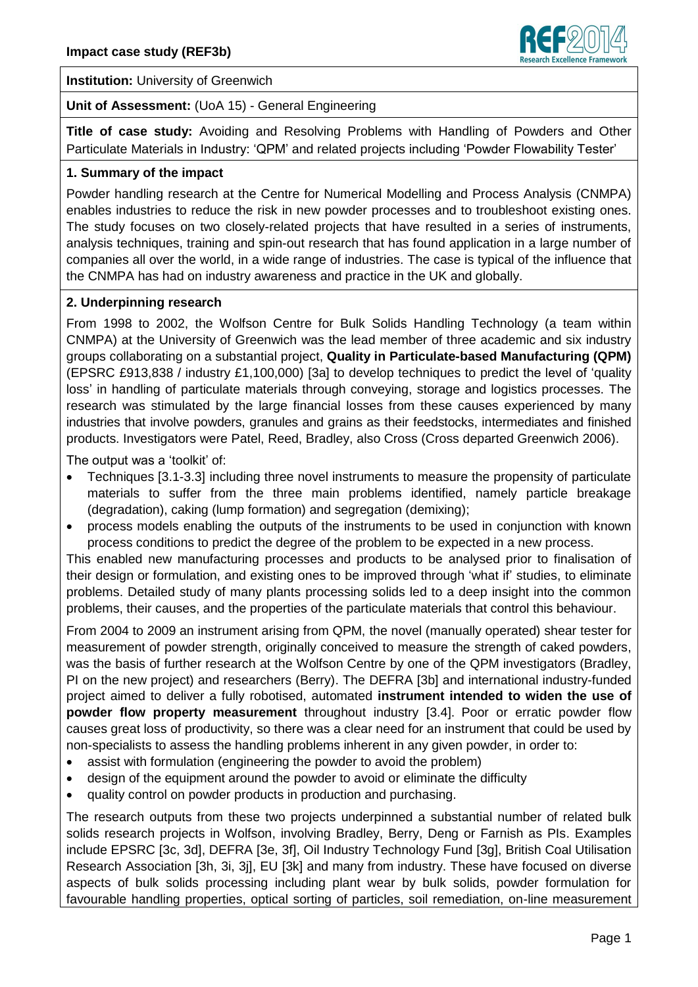

**Institution:** University of Greenwich

**Unit of Assessment:** (UoA 15) - General Engineering

**Title of case study:** Avoiding and Resolving Problems with Handling of Powders and Other Particulate Materials in Industry: 'QPM' and related projects including 'Powder Flowability Tester'

## **1. Summary of the impact**

Powder handling research at the Centre for Numerical Modelling and Process Analysis (CNMPA) enables industries to reduce the risk in new powder processes and to troubleshoot existing ones. The study focuses on two closely-related projects that have resulted in a series of instruments, analysis techniques, training and spin-out research that has found application in a large number of companies all over the world, in a wide range of industries. The case is typical of the influence that the CNMPA has had on industry awareness and practice in the UK and globally.

# **2. Underpinning research**

From 1998 to 2002, the Wolfson Centre for Bulk Solids Handling Technology (a team within CNMPA) at the University of Greenwich was the lead member of three academic and six industry groups collaborating on a substantial project, **Quality in Particulate-based Manufacturing (QPM)** (EPSRC £913,838 / industry £1,100,000) [3a] to develop techniques to predict the level of 'quality loss' in handling of particulate materials through conveying, storage and logistics processes. The research was stimulated by the large financial losses from these causes experienced by many industries that involve powders, granules and grains as their feedstocks, intermediates and finished products. Investigators were Patel, Reed, Bradley, also Cross (Cross departed Greenwich 2006).

The output was a 'toolkit' of:

- Techniques [3.1-3.3] including three novel instruments to measure the propensity of particulate materials to suffer from the three main problems identified, namely particle breakage (degradation), caking (lump formation) and segregation (demixing);
- process models enabling the outputs of the instruments to be used in conjunction with known process conditions to predict the degree of the problem to be expected in a new process.

This enabled new manufacturing processes and products to be analysed prior to finalisation of their design or formulation, and existing ones to be improved through 'what if' studies, to eliminate problems. Detailed study of many plants processing solids led to a deep insight into the common problems, their causes, and the properties of the particulate materials that control this behaviour.

From 2004 to 2009 an instrument arising from QPM, the novel (manually operated) shear tester for measurement of powder strength, originally conceived to measure the strength of caked powders, was the basis of further research at the Wolfson Centre by one of the QPM investigators (Bradley, PI on the new project) and researchers (Berry). The DEFRA [3b] and international industry-funded project aimed to deliver a fully robotised, automated **instrument intended to widen the use of powder flow property measurement** throughout industry [3.4]. Poor or erratic powder flow causes great loss of productivity, so there was a clear need for an instrument that could be used by non-specialists to assess the handling problems inherent in any given powder, in order to:

- assist with formulation (engineering the powder to avoid the problem)
- design of the equipment around the powder to avoid or eliminate the difficulty
- quality control on powder products in production and purchasing.

The research outputs from these two projects underpinned a substantial number of related bulk solids research projects in Wolfson, involving Bradley, Berry, Deng or Farnish as PIs. Examples include EPSRC [3c, 3d], DEFRA [3e, 3f], Oil Industry Technology Fund [3g], British Coal Utilisation Research Association [3h, 3i, 3j], EU [3k] and many from industry. These have focused on diverse aspects of bulk solids processing including plant wear by bulk solids, powder formulation for favourable handling properties, optical sorting of particles, soil remediation, on-line measurement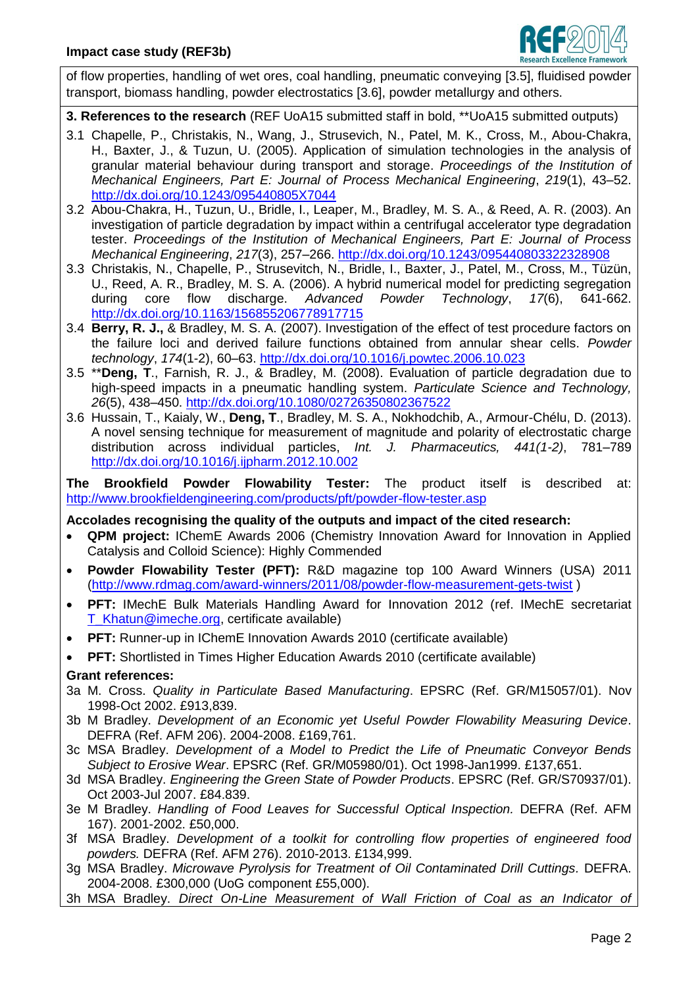

of flow properties, handling of wet ores, coal handling, pneumatic conveying [3.5], fluidised powder transport, biomass handling, powder electrostatics [3.6], powder metallurgy and others.

- **3. References to the research** (REF UoA15 submitted staff in bold, \*\*UoA15 submitted outputs)
- 3.1 Chapelle, P., Christakis, N., Wang, J., Strusevich, N., Patel, M. K., Cross, M., Abou-Chakra, H., Baxter, J., & Tuzun, U. (2005). Application of simulation technologies in the analysis of granular material behaviour during transport and storage. *Proceedings of the Institution of Mechanical Engineers, Part E: Journal of Process Mechanical Engineering*, *219*(1), 43–52. <http://dx.doi.org/10.1243/095440805X7044>
- 3.2 Abou-Chakra, H., Tuzun, U., Bridle, I., Leaper, M., Bradley, M. S. A., & Reed, A. R. (2003). An investigation of particle degradation by impact within a centrifugal accelerator type degradation tester. *Proceedings of the Institution of Mechanical Engineers, Part E: Journal of Process Mechanical Engineering*, *217*(3), 257–266.<http://dx.doi.org/10.1243/095440803322328908>
- 3.3 Christakis, N., Chapelle, P., Strusevitch, N., Bridle, I., Baxter, J., Patel, M., Cross, M., Tüzün, U., Reed, A. R., Bradley, M. S. A. (2006). A hybrid numerical model for predicting segregation during core flow discharge. *Advanced Powder Technology*, *17*(6), 641-662. <http://dx.doi.org/10.1163/156855206778917715>
- 3.4 **Berry, R. J.,** & Bradley, M. S. A. (2007). Investigation of the effect of test procedure factors on the failure loci and derived failure functions obtained from annular shear cells. *Powder technology*, *174*(1-2), 60–63.<http://dx.doi.org/10.1016/j.powtec.2006.10.023>
- 3.5 \*\***Deng, T**., Farnish, R. J., & Bradley, M. (2008). Evaluation of particle degradation due to high-speed impacts in a pneumatic handling system. *Particulate Science and Technology, 26*(5), 438–450.<http://dx.doi.org/10.1080/02726350802367522>
- 3.6 Hussain, T., Kaialy, W., **Deng, T**., Bradley, M. S. A., Nokhodchib, A., Armour-Chélu, D. (2013). A novel sensing technique for measurement of magnitude and polarity of electrostatic charge distribution across individual particles, *Int. J. Pharmaceutics, 441(1-2)*, 781–789 <http://dx.doi.org/10.1016/j.ijpharm.2012.10.002>

**The Brookfield Powder Flowability Tester:** The product itself is described at: <http://www.brookfieldengineering.com/products/pft/powder-flow-tester.asp>

### **Accolades recognising the quality of the outputs and impact of the cited research:**

- **QPM project:** IChemE Awards 2006 (Chemistry Innovation Award for Innovation in Applied Catalysis and Colloid Science): Highly Commended
- **Powder Flowability Tester (PFT):** R&D magazine top 100 Award Winners (USA) 2011 [\(http://www.rdmag.com/award-winners/2011/08/powder-flow-measurement-gets-twist](http://www.rdmag.com/award-winners/2011/08/powder-flow-measurement-gets-twist) )
- **PFT:** IMechE Bulk Materials Handling Award for Innovation 2012 (ref. IMechE secretariat [T\\_Khatun@imeche.org,](mailto:T_Khatun@imeche.org) certificate available)
- **PFT:** Runner-up in IChemE Innovation Awards 2010 (certificate available)
- **PFT:** Shortlisted in Times Higher Education Awards 2010 (certificate available)

### **Grant references:**

- 3a M. Cross. *Quality in Particulate Based Manufacturing*. EPSRC (Ref. GR/M15057/01). Nov 1998-Oct 2002. £913,839.
- 3b M Bradley. *Development of an Economic yet Useful Powder Flowability Measuring Device*. DEFRA (Ref. AFM 206). 2004-2008. £169,761.
- 3c MSA Bradley. *Development of a Model to Predict the Life of Pneumatic Conveyor Bends Subject to Erosive Wear*. EPSRC (Ref. GR/M05980/01). Oct 1998-Jan1999. £137,651.
- 3d MSA Bradley. *Engineering the Green State of Powder Products*. EPSRC (Ref. GR/S70937/01). Oct 2003-Jul 2007. £84.839.
- 3e M Bradley. *Handling of Food Leaves for Successful Optical Inspection.* DEFRA (Ref. AFM 167). 2001-2002. £50,000.
- 3f MSA Bradley. *Development of a toolkit for controlling flow properties of engineered food powders.* DEFRA (Ref. AFM 276). 2010-2013. £134,999.
- 3g MSA Bradley. *Microwave Pyrolysis for Treatment of Oil Contaminated Drill Cuttings.* DEFRA. 2004-2008. £300,000 (UoG component £55,000).
- 3h MSA Bradley. *Direct On-Line Measurement of Wall Friction of Coal as an Indicator of*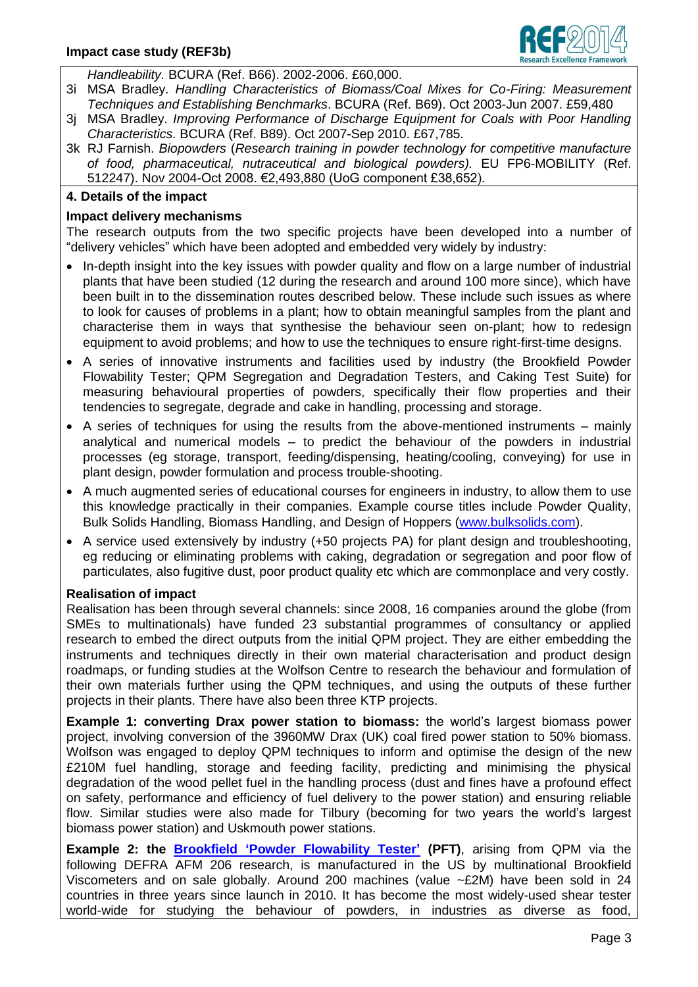

*Handleability.* BCURA (Ref. B66). 2002-2006. £60,000.

- 3i MSA Bradley. *Handling Characteristics of Biomass/Coal Mixes for Co-Firing: Measurement Techniques and Establishing Benchmarks*. BCURA (Ref. B69). Oct 2003-Jun 2007. £59,480
- 3j MSA Bradley. *Improving Performance of Discharge Equipment for Coals with Poor Handling Characteristics.* BCURA (Ref. B89). Oct 2007-Sep 2010. £67,785.
- 3k RJ Farnish. *Biopowders* (*Research training in powder technology for competitive manufacture of food, pharmaceutical, nutraceutical and biological powders).* EU FP6-MOBILITY (Ref. 512247). Nov 2004-Oct 2008. €2,493,880 (UoG component £38,652).

### **4. Details of the impact**

### **Impact delivery mechanisms**

The research outputs from the two specific projects have been developed into a number of "delivery vehicles" which have been adopted and embedded very widely by industry:

- In-depth insight into the key issues with powder quality and flow on a large number of industrial plants that have been studied (12 during the research and around 100 more since), which have been built in to the dissemination routes described below. These include such issues as where to look for causes of problems in a plant; how to obtain meaningful samples from the plant and characterise them in ways that synthesise the behaviour seen on-plant; how to redesign equipment to avoid problems; and how to use the techniques to ensure right-first-time designs.
- A series of innovative instruments and facilities used by industry (the Brookfield Powder Flowability Tester; QPM Segregation and Degradation Testers, and Caking Test Suite) for measuring behavioural properties of powders, specifically their flow properties and their tendencies to segregate, degrade and cake in handling, processing and storage.
- A series of techniques for using the results from the above-mentioned instruments mainly analytical and numerical models – to predict the behaviour of the powders in industrial processes (eg storage, transport, feeding/dispensing, heating/cooling, conveying) for use in plant design, powder formulation and process trouble-shooting.
- A much augmented series of educational courses for engineers in industry, to allow them to use this knowledge practically in their companies. Example course titles include Powder Quality, Bulk Solids Handling, Biomass Handling, and Design of Hoppers [\(www.bulksolids.com\)](http://www.bulksolids.com/).
- A service used extensively by industry (+50 projects PA) for plant design and troubleshooting, eg reducing or eliminating problems with caking, degradation or segregation and poor flow of particulates, also fugitive dust, poor product quality etc which are commonplace and very costly.

### **Realisation of impact**

Realisation has been through several channels: since 2008, 16 companies around the globe (from SMEs to multinationals) have funded 23 substantial programmes of consultancy or applied research to embed the direct outputs from the initial QPM project. They are either embedding the instruments and techniques directly in their own material characterisation and product design roadmaps, or funding studies at the Wolfson Centre to research the behaviour and formulation of their own materials further using the QPM techniques, and using the outputs of these further projects in their plants. There have also been three KTP projects.

**Example 1: converting Drax power station to biomass:** the world's largest biomass power project, involving conversion of the 3960MW Drax (UK) coal fired power station to 50% biomass. Wolfson was engaged to deploy QPM techniques to inform and optimise the design of the new £210M fuel handling, storage and feeding facility, predicting and minimising the physical degradation of the wood pellet fuel in the handling process (dust and fines have a profound effect on safety, performance and efficiency of fuel delivery to the power station) and ensuring reliable flow. Similar studies were also made for Tilbury (becoming for two years the world's largest biomass power station) and Uskmouth power stations.

**Example 2: the [Brookfield 'Powder Flowability Tester'](http://www.brookfieldengineering.com/products/pft/powder-flow-tester.asp) (PFT)**, arising from QPM via the following DEFRA AFM 206 research, is manufactured in the US by multinational Brookfield Viscometers and on sale globally. Around 200 machines (value ~£2M) have been sold in 24 countries in three years since launch in 2010. It has become the most widely-used shear tester world-wide for studying the behaviour of powders, in industries as diverse as food,